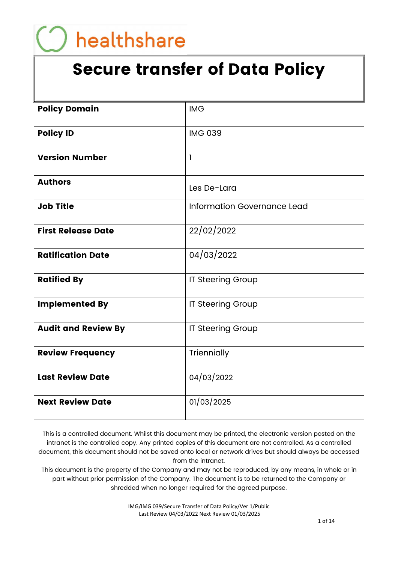# healthshare

# Secure transfer of Data Policy

| <b>Policy Domain</b>       | <b>IMG</b>                  |
|----------------------------|-----------------------------|
| <b>Policy ID</b>           | <b>IMG 039</b>              |
| <b>Version Number</b>      | $\mathbf{I}$                |
| <b>Authors</b>             | Les De-Lara                 |
| <b>Job Title</b>           | Information Governance Lead |
| <b>First Release Date</b>  | 22/02/2022                  |
| <b>Ratification Date</b>   | 04/03/2022                  |
| <b>Ratified By</b>         | IT Steering Group           |
| <b>Implemented By</b>      | <b>IT Steering Group</b>    |
| <b>Audit and Review By</b> | <b>IT Steering Group</b>    |
| <b>Review Frequency</b>    | Triennially                 |
| <b>Last Review Date</b>    | 04/03/2022                  |
| <b>Next Review Date</b>    | 01/03/2025                  |

This is a controlled document. Whilst this document may be printed, the electronic version posted on the intranet is the controlled copy. Any printed copies of this document are not controlled. As a controlled document, this document should not be saved onto local or network drives but should always be accessed from the intranet.

This document is the property of the Company and may not be reproduced, by any means, in whole or in part without prior permission of the Company. The document is to be returned to the Company or shredded when no longer required for the agreed purpose.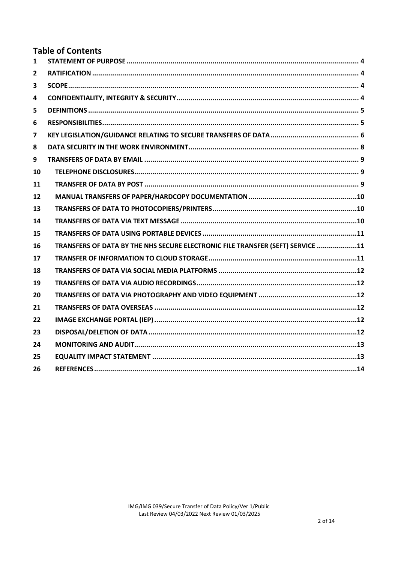#### **Table of Contents**  $\mathbf{1}$  $\overline{2}$  $\overline{\mathbf{3}}$  $\overline{\mathbf{4}}$  $\overline{7}$  $\mathbf{q}$ TRANSFERS OF DATA BY THE NHS SECURE ELECTRONIC FILE TRANSFER (SEFT) SERVICE ....................11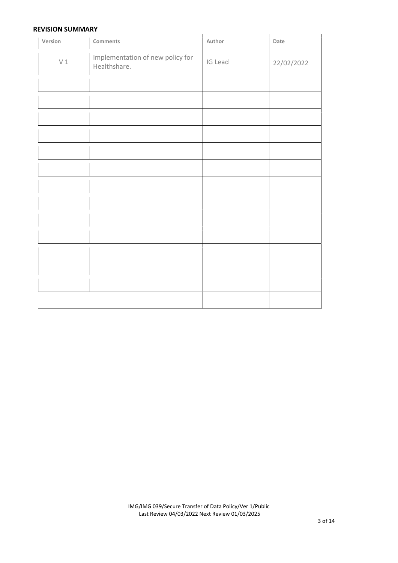#### REVISION SUMMARY

| Version  | Comments                                         | Author  | Date       |
|----------|--------------------------------------------------|---------|------------|
| $\vee$ 1 | Implementation of new policy for<br>Healthshare. | IG Lead | 22/02/2022 |
|          |                                                  |         |            |
|          |                                                  |         |            |
|          |                                                  |         |            |
|          |                                                  |         |            |
|          |                                                  |         |            |
|          |                                                  |         |            |
|          |                                                  |         |            |
|          |                                                  |         |            |
|          |                                                  |         |            |
|          |                                                  |         |            |
|          |                                                  |         |            |
|          |                                                  |         |            |
|          |                                                  |         |            |
|          |                                                  |         |            |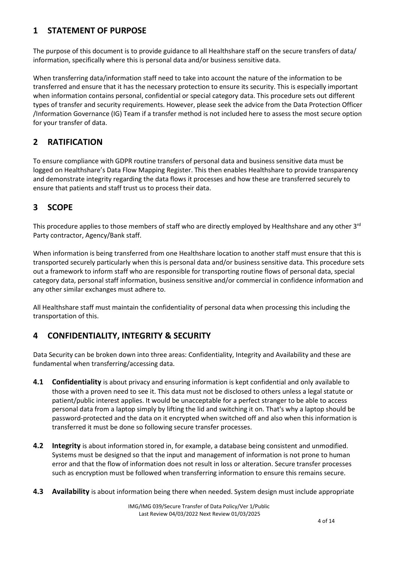# 1 STATEMENT OF PURPOSE

The purpose of this document is to provide guidance to all Healthshare staff on the secure transfers of data/ information, specifically where this is personal data and/or business sensitive data.

When transferring data/information staff need to take into account the nature of the information to be transferred and ensure that it has the necessary protection to ensure its security. This is especially important when information contains personal, confidential or special category data. This procedure sets out different types of transfer and security requirements. However, please seek the advice from the Data Protection Officer /Information Governance (IG) Team if a transfer method is not included here to assess the most secure option for your transfer of data.

# 2 RATIFICATION

To ensure compliance with GDPR routine transfers of personal data and business sensitive data must be logged on Healthshare's Data Flow Mapping Register. This then enables Healthshare to provide transparency and demonstrate integrity regarding the data flows it processes and how these are transferred securely to ensure that patients and staff trust us to process their data.

# 3 SCOPE

This procedure applies to those members of staff who are directly employed by Healthshare and any other 3<sup>rd</sup> Party contractor, Agency/Bank staff.

When information is being transferred from one Healthshare location to another staff must ensure that this is transported securely particularly when this is personal data and/or business sensitive data. This procedure sets out a framework to inform staff who are responsible for transporting routine flows of personal data, special category data, personal staff information, business sensitive and/or commercial in confidence information and any other similar exchanges must adhere to.

All Healthshare staff must maintain the confidentiality of personal data when processing this including the transportation of this.

# 4 CONFIDENTIALITY, INTEGRITY & SECURITY

Data Security can be broken down into three areas: Confidentiality, Integrity and Availability and these are fundamental when transferring/accessing data.

- **4.1 Confidentiality** is about privacy and ensuring information is kept confidential and only available to those with a proven need to see it. This data must not be disclosed to others unless a legal statute or patient/public interest applies. It would be unacceptable for a perfect stranger to be able to access personal data from a laptop simply by lifting the lid and switching it on. That's why a laptop should be password-protected and the data on it encrypted when switched off and also when this information is transferred it must be done so following secure transfer processes.
- **4.2** Integrity is about information stored in, for example, a database being consistent and unmodified. Systems must be designed so that the input and management of information is not prone to human error and that the flow of information does not result in loss or alteration. Secure transfer processes such as encryption must be followed when transferring information to ensure this remains secure.
- 4.3 Availability is about information being there when needed. System design must include appropriate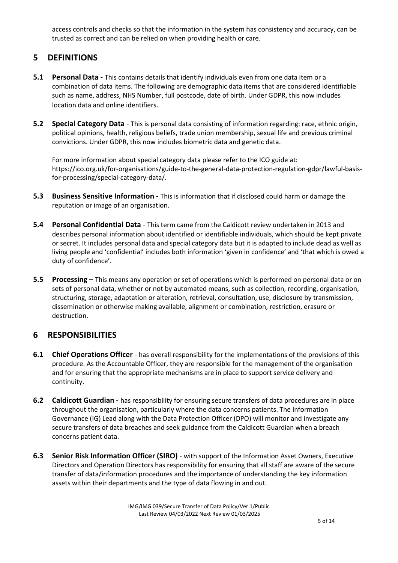access controls and checks so that the information in the system has consistency and accuracy, can be trusted as correct and can be relied on when providing health or care.

# 5 DEFINITIONS

- **5.1 Personal Data** This contains details that identify individuals even from one data item or a combination of data items. The following are demographic data items that are considered identifiable such as name, address, NHS Number, full postcode, date of birth. Under GDPR, this now includes location data and online identifiers.
- 5.2 Special Category Data This is personal data consisting of information regarding: race, ethnic origin, political opinions, health, religious beliefs, trade union membership, sexual life and previous criminal convictions. Under GDPR, this now includes biometric data and genetic data.

For more information about special category data please refer to the ICO guide at: https://ico.org.uk/for-organisations/guide-to-the-general-data-protection-regulation-gdpr/lawful-basisfor-processing/special-category-data/.

- **5.3** Business Sensitive Information This is information that if disclosed could harm or damage the reputation or image of an organisation.
- 5.4 Personal Confidential Data This term came from the Caldicott review undertaken in 2013 and describes personal information about identified or identifiable individuals, which should be kept private or secret. It includes personal data and special category data but it is adapted to include dead as well as living people and 'confidential' includes both information 'given in confidence' and 'that which is owed a duty of confidence'.
- 5.5 Processing This means any operation or set of operations which is performed on personal data or on sets of personal data, whether or not by automated means, such as collection, recording, organisation, structuring, storage, adaptation or alteration, retrieval, consultation, use, disclosure by transmission, dissemination or otherwise making available, alignment or combination, restriction, erasure or destruction.

### 6 RESPONSIBILITIES

- **6.1** Chief Operations Officer has overall responsibility for the implementations of the provisions of this procedure. As the Accountable Officer, they are responsible for the management of the organisation and for ensuring that the appropriate mechanisms are in place to support service delivery and continuity.
- 6.2 Caldicott Guardian has responsibility for ensuring secure transfers of data procedures are in place throughout the organisation, particularly where the data concerns patients. The Information Governance (IG) Lead along with the Data Protection Officer (DPO) will monitor and investigate any secure transfers of data breaches and seek guidance from the Caldicott Guardian when a breach concerns patient data.
- 6.3 Senior Risk Information Officer (SIRO) with support of the Information Asset Owners, Executive Directors and Operation Directors has responsibility for ensuring that all staff are aware of the secure transfer of data/information procedures and the importance of understanding the key information assets within their departments and the type of data flowing in and out.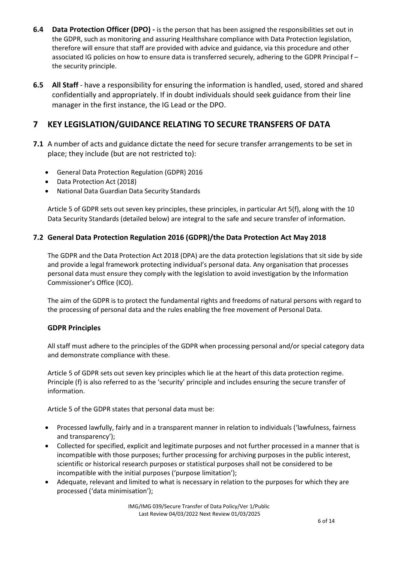- 6.4 Data Protection Officer (DPO) is the person that has been assigned the responsibilities set out in the GDPR, such as monitoring and assuring Healthshare compliance with Data Protection legislation, therefore will ensure that staff are provided with advice and guidance, via this procedure and other associated IG policies on how to ensure data is transferred securely, adhering to the GDPR Principal f – the security principle.
- 6.5 All Staff have a responsibility for ensuring the information is handled, used, stored and shared confidentially and appropriately. If in doubt individuals should seek guidance from their line manager in the first instance, the IG Lead or the DPO.

# 7 KEY LEGISLATION/GUIDANCE RELATING TO SECURE TRANSFERS OF DATA

- 7.1 A number of acts and guidance dictate the need for secure transfer arrangements to be set in place; they include (but are not restricted to):
	- General Data Protection Regulation (GDPR) 2016
	- Data Protection Act (2018)
	- National Data Guardian Data Security Standards

Article 5 of GDPR sets out seven key principles, these principles, in particular Art 5(f), along with the 10 Data Security Standards (detailed below) are integral to the safe and secure transfer of information.

#### 7.2 General Data Protection Regulation 2016 (GDPR)/the Data Protection Act May 2018

The GDPR and the Data Protection Act 2018 (DPA) are the data protection legislations that sit side by side and provide a legal framework protecting individual's personal data. Any organisation that processes personal data must ensure they comply with the legislation to avoid investigation by the Information Commissioner's Office (ICO).

The aim of the GDPR is to protect the fundamental rights and freedoms of natural persons with regard to the processing of personal data and the rules enabling the free movement of Personal Data.

#### GDPR Principles

All staff must adhere to the principles of the GDPR when processing personal and/or special category data and demonstrate compliance with these.

Article 5 of GDPR sets out seven key principles which lie at the heart of this data protection regime. Principle (f) is also referred to as the 'security' principle and includes ensuring the secure transfer of information.

Article 5 of the GDPR states that personal data must be:

- Processed lawfully, fairly and in a transparent manner in relation to individuals ('lawfulness, fairness and transparency');
- Collected for specified, explicit and legitimate purposes and not further processed in a manner that is incompatible with those purposes; further processing for archiving purposes in the public interest, scientific or historical research purposes or statistical purposes shall not be considered to be incompatible with the initial purposes ('purpose limitation');
- Adequate, relevant and limited to what is necessary in relation to the purposes for which they are processed ('data minimisation');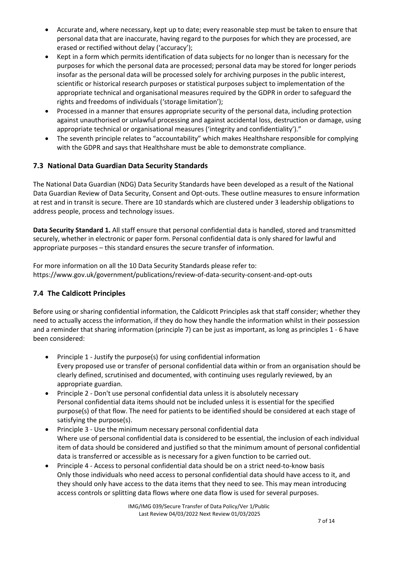- Accurate and, where necessary, kept up to date; every reasonable step must be taken to ensure that personal data that are inaccurate, having regard to the purposes for which they are processed, are erased or rectified without delay ('accuracy');
- Kept in a form which permits identification of data subjects for no longer than is necessary for the purposes for which the personal data are processed; personal data may be stored for longer periods insofar as the personal data will be processed solely for archiving purposes in the public interest, scientific or historical research purposes or statistical purposes subject to implementation of the appropriate technical and organisational measures required by the GDPR in order to safeguard the rights and freedoms of individuals ('storage limitation');
- Processed in a manner that ensures appropriate security of the personal data, including protection against unauthorised or unlawful processing and against accidental loss, destruction or damage, using appropriate technical or organisational measures ('integrity and confidentiality')."
- The seventh principle relates to "accountability" which makes Healthshare responsible for complying with the GDPR and says that Healthshare must be able to demonstrate compliance.

#### 7.3 National Data Guardian Data Security Standards

The National Data Guardian (NDG) Data Security Standards have been developed as a result of the National Data Guardian Review of Data Security, Consent and Opt-outs. These outline measures to ensure information at rest and in transit is secure. There are 10 standards which are clustered under 3 leadership obligations to address people, process and technology issues.

Data Security Standard 1. All staff ensure that personal confidential data is handled, stored and transmitted securely, whether in electronic or paper form. Personal confidential data is only shared for lawful and appropriate purposes – this standard ensures the secure transfer of information.

For more information on all the 10 Data Security Standards please refer to: https://www.gov.uk/government/publications/review-of-data-security-consent-and-opt-outs

#### 7.4 The Caldicott Principles

Before using or sharing confidential information, the Caldicott Principles ask that staff consider; whether they need to actually access the information, if they do how they handle the information whilst in their possession and a reminder that sharing information (principle 7) can be just as important, as long as principles 1 - 6 have been considered:

- Principle 1 Justify the purpose(s) for using confidential information Every proposed use or transfer of personal confidential data within or from an organisation should be clearly defined, scrutinised and documented, with continuing uses regularly reviewed, by an appropriate guardian.
- Principle 2 Don't use personal confidential data unless it is absolutely necessary Personal confidential data items should not be included unless it is essential for the specified purpose(s) of that flow. The need for patients to be identified should be considered at each stage of satisfying the purpose(s).
- Principle 3 Use the minimum necessary personal confidential data Where use of personal confidential data is considered to be essential, the inclusion of each individual item of data should be considered and justified so that the minimum amount of personal confidential data is transferred or accessible as is necessary for a given function to be carried out.
- Principle 4 Access to personal confidential data should be on a strict need-to-know basis Only those individuals who need access to personal confidential data should have access to it, and they should only have access to the data items that they need to see. This may mean introducing access controls or splitting data flows where one data flow is used for several purposes.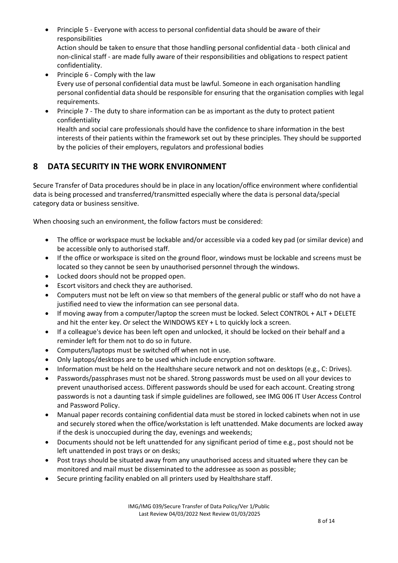Principle 5 - Everyone with access to personal confidential data should be aware of their responsibilities

Action should be taken to ensure that those handling personal confidential data - both clinical and non-clinical staff - are made fully aware of their responsibilities and obligations to respect patient confidentiality.

- Principle 6 Comply with the law Every use of personal confidential data must be lawful. Someone in each organisation handling personal confidential data should be responsible for ensuring that the organisation complies with legal requirements.
- Principle 7 The duty to share information can be as important as the duty to protect patient confidentiality

Health and social care professionals should have the confidence to share information in the best interests of their patients within the framework set out by these principles. They should be supported by the policies of their employers, regulators and professional bodies

# 8 DATA SECURITY IN THE WORK ENVIRONMENT

Secure Transfer of Data procedures should be in place in any location/office environment where confidential data is being processed and transferred/transmitted especially where the data is personal data/special category data or business sensitive.

When choosing such an environment, the follow factors must be considered:

- The office or workspace must be lockable and/or accessible via a coded key pad (or similar device) and be accessible only to authorised staff.
- If the office or workspace is sited on the ground floor, windows must be lockable and screens must be located so they cannot be seen by unauthorised personnel through the windows.
- Locked doors should not be propped open.
- Escort visitors and check they are authorised.
- Computers must not be left on view so that members of the general public or staff who do not have a justified need to view the information can see personal data.
- If moving away from a computer/laptop the screen must be locked. Select CONTROL + ALT + DELETE and hit the enter key. Or select the WINDOWS KEY + L to quickly lock a screen.
- If a colleague's device has been left open and unlocked, it should be locked on their behalf and a reminder left for them not to do so in future.
- Computers/laptops must be switched off when not in use.
- Only laptops/desktops are to be used which include encryption software.
- Information must be held on the Healthshare secure network and not on desktops (e.g., C: Drives).
- Passwords/passphrases must not be shared. Strong passwords must be used on all your devices to prevent unauthorised access. Different passwords should be used for each account. Creating strong passwords is not a daunting task if simple guidelines are followed, see IMG 006 IT User Access Control and Password Policy.
- Manual paper records containing confidential data must be stored in locked cabinets when not in use and securely stored when the office/workstation is left unattended. Make documents are locked away if the desk is unoccupied during the day, evenings and weekends;
- Documents should not be left unattended for any significant period of time e.g., post should not be left unattended in post trays or on desks;
- Post trays should be situated away from any unauthorised access and situated where they can be monitored and mail must be disseminated to the addressee as soon as possible;
- Secure printing facility enabled on all printers used by Healthshare staff.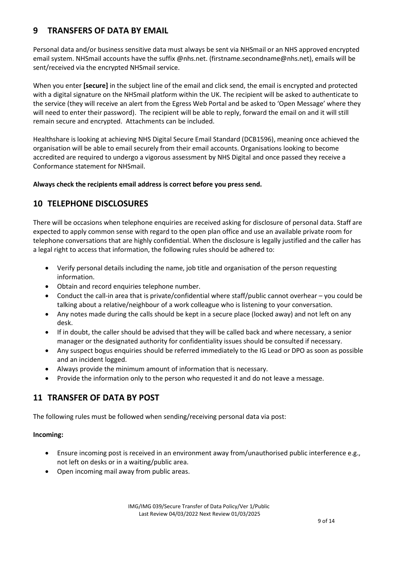# 9 TRANSFERS OF DATA BY EMAIL

Personal data and/or business sensitive data must always be sent via NHSmail or an NHS approved encrypted email system. NHSmail accounts have the suffix @nhs.net. (firstname.secondname@nhs.net), emails will be sent/received via the encrypted NHSmail service.

When you enter **[secure]** in the subject line of the email and click send, the email is encrypted and protected with a digital signature on the NHSmail platform within the UK. The recipient will be asked to authenticate to the service (they will receive an alert from the Egress Web Portal and be asked to 'Open Message' where they will need to enter their password). The recipient will be able to reply, forward the email on and it will still remain secure and encrypted. Attachments can be included.

Healthshare is looking at achieving NHS Digital Secure Email Standard (DCB1596), meaning once achieved the organisation will be able to email securely from their email accounts. Organisations looking to become accredited are required to undergo a vigorous assessment by NHS Digital and once passed they receive a Conformance statement for NHSmail.

#### Always check the recipients email address is correct before you press send.

# 10 TELEPHONE DISCLOSURES

There will be occasions when telephone enquiries are received asking for disclosure of personal data. Staff are expected to apply common sense with regard to the open plan office and use an available private room for telephone conversations that are highly confidential. When the disclosure is legally justified and the caller has a legal right to access that information, the following rules should be adhered to:

- Verify personal details including the name, job title and organisation of the person requesting information.
- Obtain and record enquiries telephone number.
- Conduct the call-in area that is private/confidential where staff/public cannot overhear you could be talking about a relative/neighbour of a work colleague who is listening to your conversation.
- Any notes made during the calls should be kept in a secure place (locked away) and not left on any desk.
- If in doubt, the caller should be advised that they will be called back and where necessary, a senior manager or the designated authority for confidentiality issues should be consulted if necessary.
- Any suspect bogus enquiries should be referred immediately to the IG Lead or DPO as soon as possible and an incident logged.
- Always provide the minimum amount of information that is necessary.
- Provide the information only to the person who requested it and do not leave a message.

# 11 TRANSFER OF DATA BY POST

The following rules must be followed when sending/receiving personal data via post:

#### Incoming:

- Ensure incoming post is received in an environment away from/unauthorised public interference e.g., not left on desks or in a waiting/public area.
- Open incoming mail away from public areas.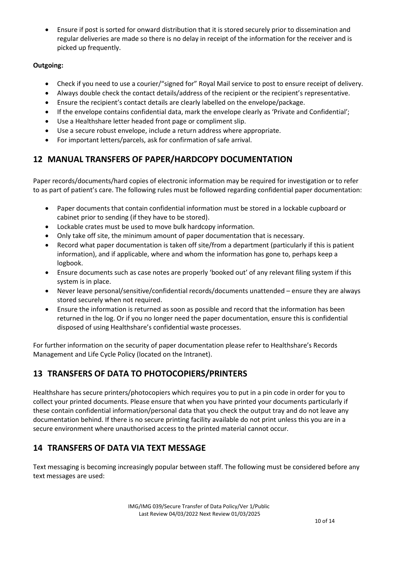Ensure if post is sorted for onward distribution that it is stored securely prior to dissemination and regular deliveries are made so there is no delay in receipt of the information for the receiver and is picked up frequently.

#### Outgoing:

- Check if you need to use a courier/"signed for" Royal Mail service to post to ensure receipt of delivery.
- Always double check the contact details/address of the recipient or the recipient's representative.
- Ensure the recipient's contact details are clearly labelled on the envelope/package.
- If the envelope contains confidential data, mark the envelope clearly as 'Private and Confidential';
- Use a Healthshare letter headed front page or compliment slip.
- Use a secure robust envelope, include a return address where appropriate.
- For important letters/parcels, ask for confirmation of safe arrival.

# 12 MANUAL TRANSFERS OF PAPER/HARDCOPY DOCUMENTATION

Paper records/documents/hard copies of electronic information may be required for investigation or to refer to as part of patient's care. The following rules must be followed regarding confidential paper documentation:

- Paper documents that contain confidential information must be stored in a lockable cupboard or cabinet prior to sending (if they have to be stored).
- Lockable crates must be used to move bulk hardcopy information.
- Only take off site, the minimum amount of paper documentation that is necessary.
- Record what paper documentation is taken off site/from a department (particularly if this is patient information), and if applicable, where and whom the information has gone to, perhaps keep a logbook.
- Ensure documents such as case notes are properly 'booked out' of any relevant filing system if this system is in place.
- Never leave personal/sensitive/confidential records/documents unattended ensure they are always stored securely when not required.
- Ensure the information is returned as soon as possible and record that the information has been returned in the log. Or if you no longer need the paper documentation, ensure this is confidential disposed of using Healthshare's confidential waste processes.

For further information on the security of paper documentation please refer to Healthshare's Records Management and Life Cycle Policy (located on the Intranet).

# 13 TRANSFERS OF DATA TO PHOTOCOPIERS/PRINTERS

Healthshare has secure printers/photocopiers which requires you to put in a pin code in order for you to collect your printed documents. Please ensure that when you have printed your documents particularly if these contain confidential information/personal data that you check the output tray and do not leave any documentation behind. If there is no secure printing facility available do not print unless this you are in a secure environment where unauthorised access to the printed material cannot occur.

# 14 TRANSFERS OF DATA VIA TEXT MESSAGE

Text messaging is becoming increasingly popular between staff. The following must be considered before any text messages are used: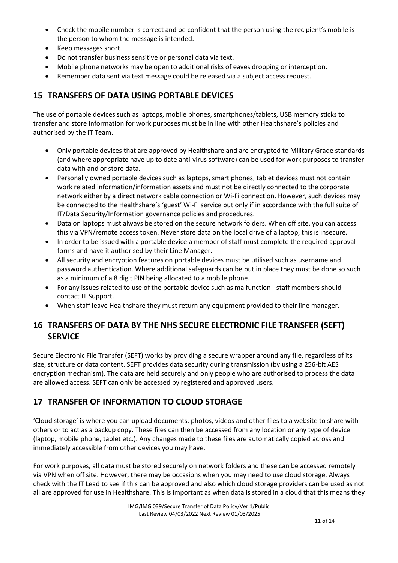- Check the mobile number is correct and be confident that the person using the recipient's mobile is the person to whom the message is intended.
- Keep messages short.
- Do not transfer business sensitive or personal data via text.
- Mobile phone networks may be open to additional risks of eaves dropping or interception.
- Remember data sent via text message could be released via a subject access request.

# 15 TRANSFERS OF DATA USING PORTABLE DEVICES

The use of portable devices such as laptops, mobile phones, smartphones/tablets, USB memory sticks to transfer and store information for work purposes must be in line with other Healthshare's policies and authorised by the IT Team.

- Only portable devices that are approved by Healthshare and are encrypted to Military Grade standards (and where appropriate have up to date anti-virus software) can be used for work purposes to transfer data with and or store data.
- Personally owned portable devices such as laptops, smart phones, tablet devices must not contain work related information/information assets and must not be directly connected to the corporate network either by a direct network cable connection or Wi-Fi connection. However, such devices may be connected to the Healthshare's 'guest' Wi-Fi service but only if in accordance with the full suite of IT/Data Security/Information governance policies and procedures.
- Data on laptops must always be stored on the secure network folders. When off site, you can access this via VPN/remote access token. Never store data on the local drive of a laptop, this is insecure.
- In order to be issued with a portable device a member of staff must complete the required approval forms and have it authorised by their Line Manager.
- All security and encryption features on portable devices must be utilised such as username and password authentication. Where additional safeguards can be put in place they must be done so such as a minimum of a 8 digit PIN being allocated to a mobile phone.
- For any issues related to use of the portable device such as malfunction staff members should contact IT Support.
- When staff leave Healthshare they must return any equipment provided to their line manager.

# 16 TRANSFERS OF DATA BY THE NHS SECURE ELECTRONIC FILE TRANSFER (SEFT) **SERVICE**

Secure Electronic File Transfer (SEFT) works by providing a secure wrapper around any file, regardless of its size, structure or data content. SEFT provides data security during transmission (by using a 256-bit AES encryption mechanism). The data are held securely and only people who are authorised to process the data are allowed access. SEFT can only be accessed by registered and approved users.

# 17 TRANSFER OF INFORMATION TO CLOUD STORAGE

'Cloud storage' is where you can upload documents, photos, videos and other files to a website to share with others or to act as a backup copy. These files can then be accessed from any location or any type of device (laptop, mobile phone, tablet etc.). Any changes made to these files are automatically copied across and immediately accessible from other devices you may have.

For work purposes, all data must be stored securely on network folders and these can be accessed remotely via VPN when off site. However, there may be occasions when you may need to use cloud storage. Always check with the IT Lead to see if this can be approved and also which cloud storage providers can be used as not all are approved for use in Healthshare. This is important as when data is stored in a cloud that this means they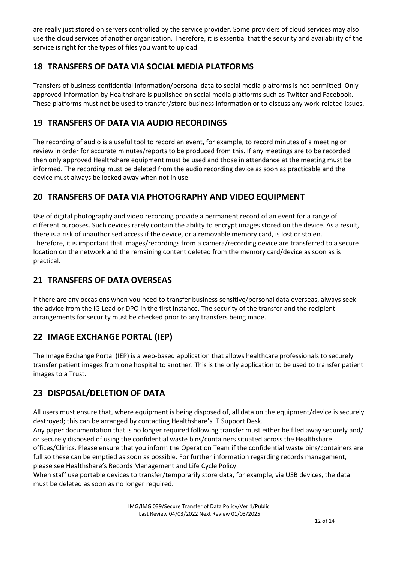are really just stored on servers controlled by the service provider. Some providers of cloud services may also use the cloud services of another organisation. Therefore, it is essential that the security and availability of the service is right for the types of files you want to upload.

# 18 TRANSFERS OF DATA VIA SOCIAL MEDIA PLATFORMS

Transfers of business confidential information/personal data to social media platforms is not permitted. Only approved information by Healthshare is published on social media platforms such as Twitter and Facebook. These platforms must not be used to transfer/store business information or to discuss any work-related issues.

# 19 TRANSFERS OF DATA VIA AUDIO RECORDINGS

The recording of audio is a useful tool to record an event, for example, to record minutes of a meeting or review in order for accurate minutes/reports to be produced from this. If any meetings are to be recorded then only approved Healthshare equipment must be used and those in attendance at the meeting must be informed. The recording must be deleted from the audio recording device as soon as practicable and the device must always be locked away when not in use.

# 20 TRANSFERS OF DATA VIA PHOTOGRAPHY AND VIDEO EQUIPMENT

Use of digital photography and video recording provide a permanent record of an event for a range of different purposes. Such devices rarely contain the ability to encrypt images stored on the device. As a result, there is a risk of unauthorised access if the device, or a removable memory card, is lost or stolen. Therefore, it is important that images/recordings from a camera/recording device are transferred to a secure location on the network and the remaining content deleted from the memory card/device as soon as is practical.

# 21 TRANSFERS OF DATA OVERSEAS

If there are any occasions when you need to transfer business sensitive/personal data overseas, always seek the advice from the IG Lead or DPO in the first instance. The security of the transfer and the recipient arrangements for security must be checked prior to any transfers being made.

# 22 IMAGE EXCHANGE PORTAL (IEP)

The Image Exchange Portal (IEP) is a web-based application that allows healthcare professionals to securely transfer patient images from one hospital to another. This is the only application to be used to transfer patient images to a Trust.

# 23 DISPOSAL/DELETION OF DATA

All users must ensure that, where equipment is being disposed of, all data on the equipment/device is securely destroyed; this can be arranged by contacting Healthshare's IT Support Desk.

Any paper documentation that is no longer required following transfer must either be filed away securely and/ or securely disposed of using the confidential waste bins/containers situated across the Healthshare offices/Clinics. Please ensure that you inform the Operation Team if the confidential waste bins/containers are full so these can be emptied as soon as possible. For further information regarding records management, please see Healthshare's Records Management and Life Cycle Policy.

When staff use portable devices to transfer/temporarily store data, for example, via USB devices, the data must be deleted as soon as no longer required.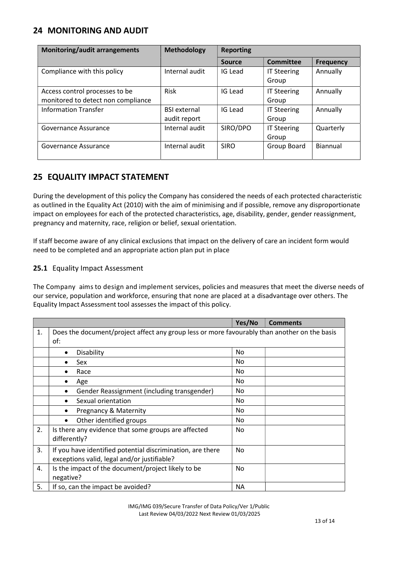# 24 MONITORING AND AUDIT

| <b>Monitoring/audit arrangements</b>                                 | <b>Methodology</b>                  | <b>Reporting</b> |                             |                  |
|----------------------------------------------------------------------|-------------------------------------|------------------|-----------------------------|------------------|
|                                                                      |                                     | <b>Source</b>    | Committee                   | <b>Frequency</b> |
| Compliance with this policy                                          | Internal audit                      | IG Lead          | <b>IT Steering</b><br>Group | Annually         |
| Access control processes to be<br>monitored to detect non compliance | <b>Risk</b>                         | IG Lead          | <b>IT Steering</b><br>Group | Annually         |
| <b>Information Transfer</b>                                          | <b>BSI</b> external<br>audit report | IG Lead          | <b>IT Steering</b><br>Group | Annually         |
| Governance Assurance                                                 | Internal audit                      | SIRO/DPO         | <b>IT Steering</b><br>Group | Quarterly        |
| Governance Assurance                                                 | Internal audit                      | <b>SIRO</b>      | Group Board                 | Biannual         |

# 25 EQUALITY IMPACT STATEMENT

During the development of this policy the Company has considered the needs of each protected characteristic as outlined in the Equality Act (2010) with the aim of minimising and if possible, remove any disproportionate impact on employees for each of the protected characteristics, age, disability, gender, gender reassignment, pregnancy and maternity, race, religion or belief, sexual orientation.

If staff become aware of any clinical exclusions that impact on the delivery of care an incident form would need to be completed and an appropriate action plan put in place

#### 25.1 Equality Impact Assessment

The Company aims to design and implement services, policies and measures that meet the diverse needs of our service, population and workforce, ensuring that none are placed at a disadvantage over others. The Equality Impact Assessment tool assesses the impact of this policy.

|    |                                                                                                                  | Yes/No | <b>Comments</b> |
|----|------------------------------------------------------------------------------------------------------------------|--------|-----------------|
| 1. | Does the document/project affect any group less or more favourably than another on the basis<br>of:              |        |                 |
|    | Disability                                                                                                       | No.    |                 |
|    | Sex                                                                                                              | No     |                 |
|    | Race                                                                                                             | No.    |                 |
|    | Age                                                                                                              | No.    |                 |
|    | Gender Reassignment (including transgender)<br>$\bullet$                                                         | No.    |                 |
|    | Sexual orientation                                                                                               | No.    |                 |
|    | Pregnancy & Maternity                                                                                            | No.    |                 |
|    | Other identified groups<br>$\bullet$                                                                             | No.    |                 |
| 2. | Is there any evidence that some groups are affected<br>differently?                                              | No.    |                 |
| 3. | If you have identified potential discrimination, are there<br>No.<br>exceptions valid, legal and/or justifiable? |        |                 |
| 4. | Is the impact of the document/project likely to be<br>No.<br>negative?                                           |        |                 |
| 5. | If so, can the impact be avoided?<br>NA.                                                                         |        |                 |